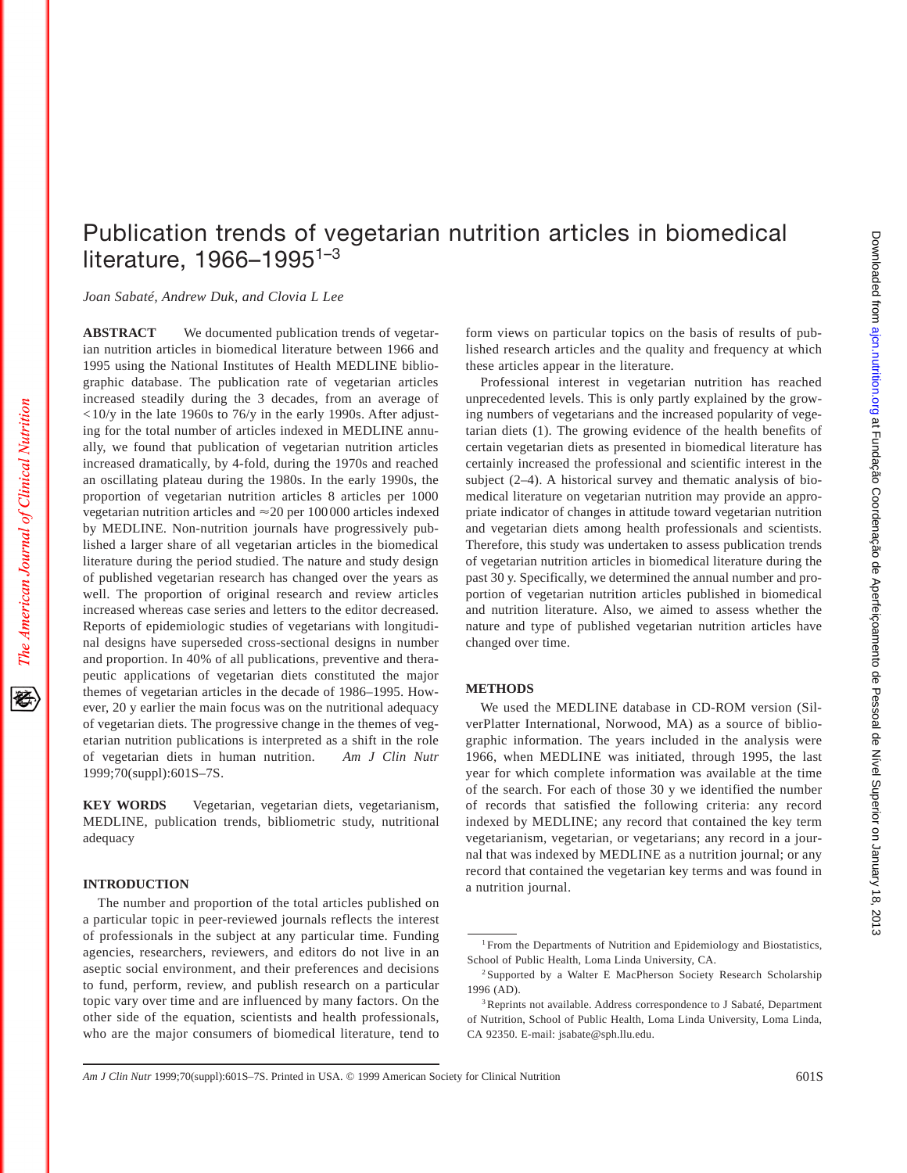# Publication trends of vegetarian nutrition articles in biomedical literature,  $1966 - 1995^{1-3}$

*Joan Sabaté, Andrew Duk, and Clovia L Lee*

**ABSTRACT** We documented publication trends of vegetarian nutrition articles in biomedical literature between 1966 and 1995 using the National Institutes of Health MEDLINE bibliographic database. The publication rate of vegetarian articles increased steadily during the 3 decades, from an average of  $<$  10/y in the late 1960s to 76/y in the early 1990s. After adjusting for the total number of articles indexed in MEDLINE annually, we found that publication of vegetarian nutrition articles increased dramatically, by 4-fold, during the 1970s and reached an oscillating plateau during the 1980s. In the early 1990s, the proportion of vegetarian nutrition articles 8 articles per 1000 vegetarian nutrition articles and  $\approx$  20 per 100000 articles indexed by MEDLINE. Non-nutrition journals have progressively published a larger share of all vegetarian articles in the biomedical literature during the period studied. The nature and study design of published vegetarian research has changed over the years as well. The proportion of original research and review articles increased whereas case series and letters to the editor decreased. Reports of epidemiologic studies of vegetarians with longitudinal designs have superseded cross-sectional designs in number and proportion. In 40% of all publications, preventive and therapeutic applications of vegetarian diets constituted the major themes of vegetarian articles in the decade of 1986–1995. However, 20 y earlier the main focus was on the nutritional adequacy of vegetarian diets. The progressive change in the themes of vegetarian nutrition publications is interpreted as a shift in the role of vegetarian diets in human nutrition. *Am J Clin Nutr* 1999;70(suppl):601S–7S.

**KEY WORDS** Vegetarian, vegetarian diets, vegetarianism, MEDLINE, publication trends, bibliometric study, nutritional adequacy

## **INTRODUCTION**

The American Journal of Clinical Nutrition

The number and proportion of the total articles published on a particular topic in peer-reviewed journals reflects the interest of professionals in the subject at any particular time. Funding agencies, researchers, reviewers, and editors do not live in an aseptic social environment, and their preferences and decisions to fund, perform, review, and publish research on a particular topic vary over time and are influenced by many factors. On the other side of the equation, scientists and health professionals, who are the major consumers of biomedical literature, tend to form views on particular topics on the basis of results of published research articles and the quality and frequency at which these articles appear in the literature.

Professional interest in vegetarian nutrition has reached unprecedented levels. This is only partly explained by the growing numbers of vegetarians and the increased popularity of vegetarian diets (1). The growing evidence of the health benefits of certain vegetarian diets as presented in biomedical literature has certainly increased the professional and scientific interest in the subject (2–4). A historical survey and thematic analysis of biomedical literature on vegetarian nutrition may provide an appropriate indicator of changes in attitude toward vegetarian nutrition and vegetarian diets among health professionals and scientists. Therefore, this study was undertaken to assess publication trends of vegetarian nutrition articles in biomedical literature during the past 30 y. Specifically, we determined the annual number and proportion of vegetarian nutrition articles published in biomedical and nutrition literature. Also, we aimed to assess whether the nature and type of published vegetarian nutrition articles have changed over time.

### **METHODS**

We used the MEDLINE database in CD-ROM version (SilverPlatter International, Norwood, MA) as a source of bibliographic information. The years included in the analysis were 1966, when MEDLINE was initiated, through 1995, the last year for which complete information was available at the time of the search. For each of those 30 y we identified the number of records that satisfied the following criteria: any record indexed by MEDLINE; any record that contained the key term vegetarianism, vegetarian, or vegetarians; any record in a journal that was indexed by MEDLINE as a nutrition journal; or any record that contained the vegetarian key terms and was found in a nutrition journal.

<sup>&</sup>lt;sup>1</sup> From the Departments of Nutrition and Epidemiology and Biostatistics, School of Public Health, Loma Linda University, CA.

<sup>2</sup> Supported by a Walter E MacPherson Society Research Scholarship 1996 (AD).

<sup>3</sup>Reprints not available. Address correspondence to J Sabaté, Department of Nutrition, School of Public Health, Loma Linda University, Loma Linda, CA 92350. E-mail: jsabate@sph.llu.edu.

*Am J Clin Nutr* 1999;70(suppl):601S–7S. Printed in USA. © 1999 American Society for Clinical Nutrition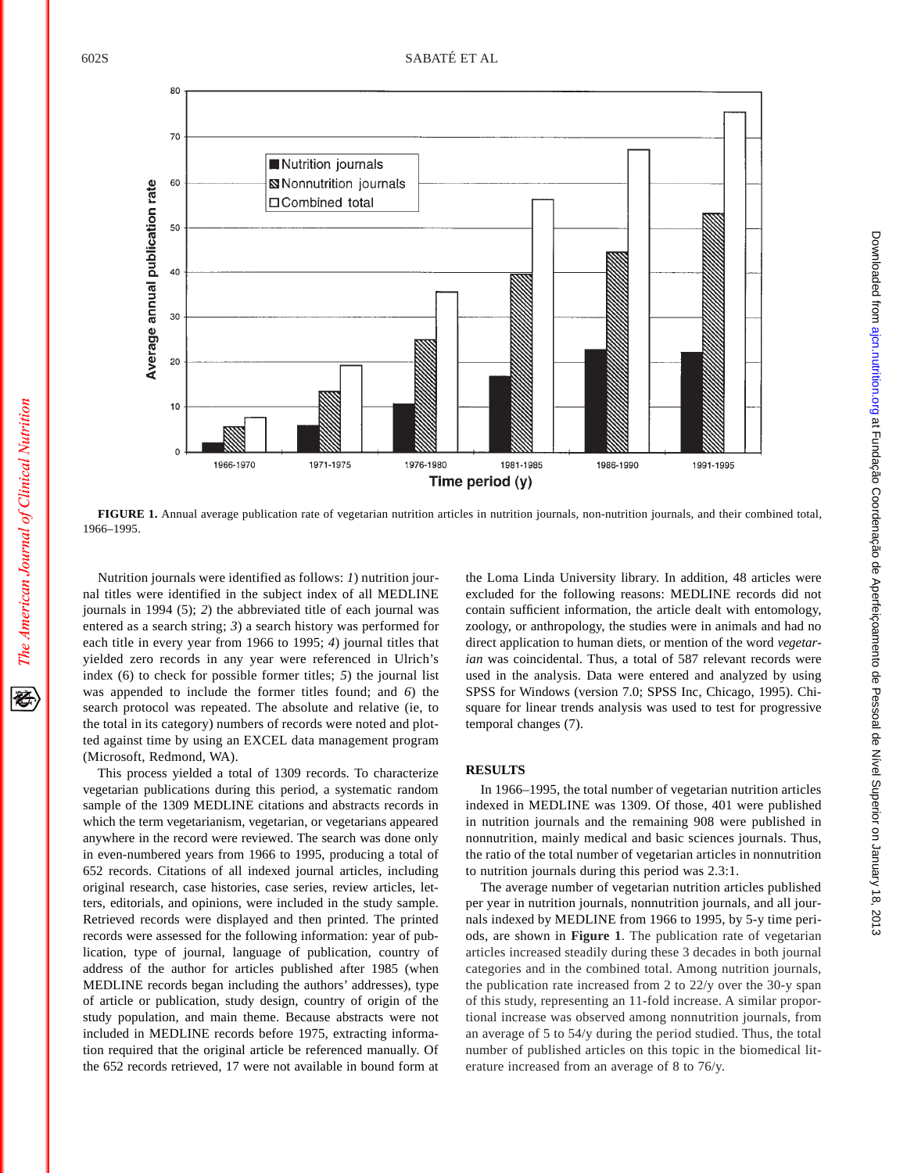

**FIGURE 1.** Annual average publication rate of vegetarian nutrition articles in nutrition journals, non-nutrition journals, and their combined total, 1966–1995.

Nutrition journals were identified as follows: *1*) nutrition journal titles were identified in the subject index of all MEDLINE journals in 1994 (5); *2*) the abbreviated title of each journal was entered as a search string; *3*) a search history was performed for each title in every year from 1966 to 1995; *4*) journal titles that yielded zero records in any year were referenced in Ulrich's index (6) to check for possible former titles; *5*) the journal list was appended to include the former titles found; and *6*) the search protocol was repeated. The absolute and relative (ie, to the total in its category) numbers of records were noted and plotted against time by using an EXCEL data management program (Microsoft, Redmond, WA).

This process yielded a total of 1309 records. To characterize vegetarian publications during this period, a systematic random sample of the 1309 MEDLINE citations and abstracts records in which the term vegetarianism, vegetarian, or vegetarians appeared anywhere in the record were reviewed. The search was done only in even-numbered years from 1966 to 1995, producing a total of 652 records. Citations of all indexed journal articles, including original research, case histories, case series, review articles, letters, editorials, and opinions, were included in the study sample. Retrieved records were displayed and then printed. The printed records were assessed for the following information: year of publication, type of journal, language of publication, country of address of the author for articles published after 1985 (when MEDLINE records began including the authors' addresses), type of article or publication, study design, country of origin of the study population, and main theme. Because abstracts were not included in MEDLINE records before 1975, extracting information required that the original article be referenced manually. Of the 652 records retrieved, 17 were not available in bound form at the Loma Linda University library. In addition, 48 articles were excluded for the following reasons: MEDLINE records did not contain sufficient information, the article dealt with entomology, zoology, or anthropology, the studies were in animals and had no direct application to human diets, or mention of the word *vegetarian* was coincidental. Thus, a total of 587 relevant records were used in the analysis. Data were entered and analyzed by using SPSS for Windows (version 7.0; SPSS Inc, Chicago, 1995). Chisquare for linear trends analysis was used to test for progressive temporal changes (7).

## **RESULTS**

In 1966–1995, the total number of vegetarian nutrition articles indexed in MEDLINE was 1309. Of those, 401 were published in nutrition journals and the remaining 908 were published in nonnutrition, mainly medical and basic sciences journals. Thus, the ratio of the total number of vegetarian articles in nonnutrition to nutrition journals during this period was 2.3:1.

The average number of vegetarian nutrition articles published per year in nutrition journals, nonnutrition journals, and all journals indexed by MEDLINE from 1966 to 1995, by 5-y time periods, are shown in **Figure 1**. The publication rate of vegetarian articles increased steadily during these 3 decades in both journal categories and in the combined total. Among nutrition journals, the publication rate increased from 2 to 22/y over the 30-y span of this study, representing an 11-fold increase. A similar proportional increase was observed among nonnutrition journals, from an average of 5 to 54/y during the period studied. Thus, the total number of published articles on this topic in the biomedical literature increased from an average of 8 to 76/y.

姿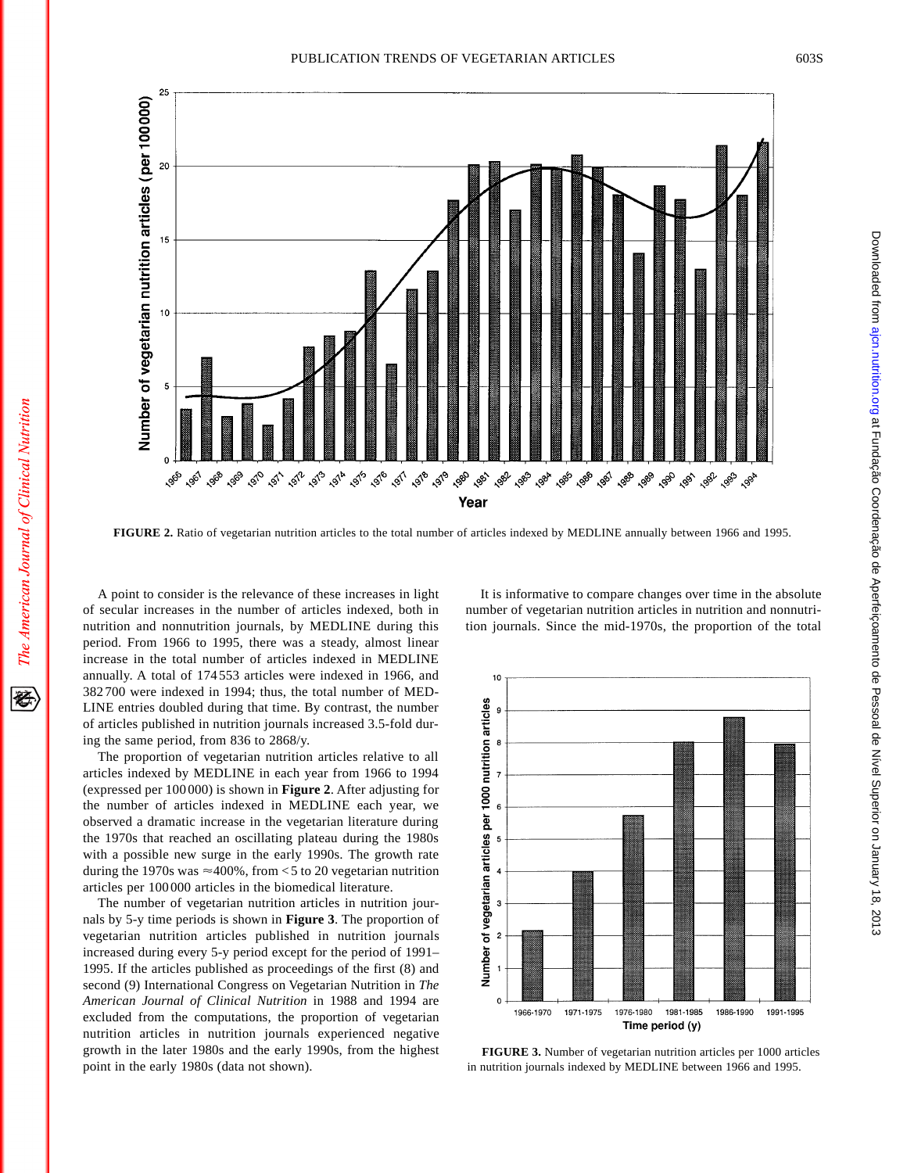

**FIGURE 2.** Ratio of vegetarian nutrition articles to the total number of articles indexed by MEDLINE annually between 1966 and 1995.

A point to consider is the relevance of these increases in light of secular increases in the number of articles indexed, both in nutrition and nonnutrition journals, by MEDLINE during this period. From 1966 to 1995, there was a steady, almost linear increase in the total number of articles indexed in MEDLINE annually. A total of 174 553 articles were indexed in 1966, and 382 700 were indexed in 1994; thus, the total number of MED-LINE entries doubled during that time. By contrast, the number of articles published in nutrition journals increased 3.5-fold during the same period, from 836 to 2868/y.

The proportion of vegetarian nutrition articles relative to all articles indexed by MEDLINE in each year from 1966 to 1994 (expressed per 100 000) is shown in **Figure 2**. After adjusting for the number of articles indexed in MEDLINE each year, we observed a dramatic increase in the vegetarian literature during the 1970s that reached an oscillating plateau during the 1980s with a possible new surge in the early 1990s. The growth rate during the 1970s was  $\approx$  400%, from <5 to 20 vegetarian nutrition articles per 100000 articles in the biomedical literature.

The number of vegetarian nutrition articles in nutrition journals by 5-y time periods is shown in **Figure 3**. The proportion of vegetarian nutrition articles published in nutrition journals increased during every 5-y period except for the period of 1991– 1995. If the articles published as proceedings of the first (8) and second (9) International Congress on Vegetarian Nutrition in *The American Journal of Clinical Nutrition* in 1988 and 1994 are excluded from the computations, the proportion of vegetarian nutrition articles in nutrition journals experienced negative growth in the later 1980s and the early 1990s, from the highest point in the early 1980s (data not shown).

It is informative to compare changes over time in the absolute number of vegetarian nutrition articles in nutrition and nonnutrition journals. Since the mid-1970s, the proportion of the total



**FIGURE 3.** Number of vegetarian nutrition articles per 1000 articles in nutrition journals indexed by MEDLINE between 1966 and 1995.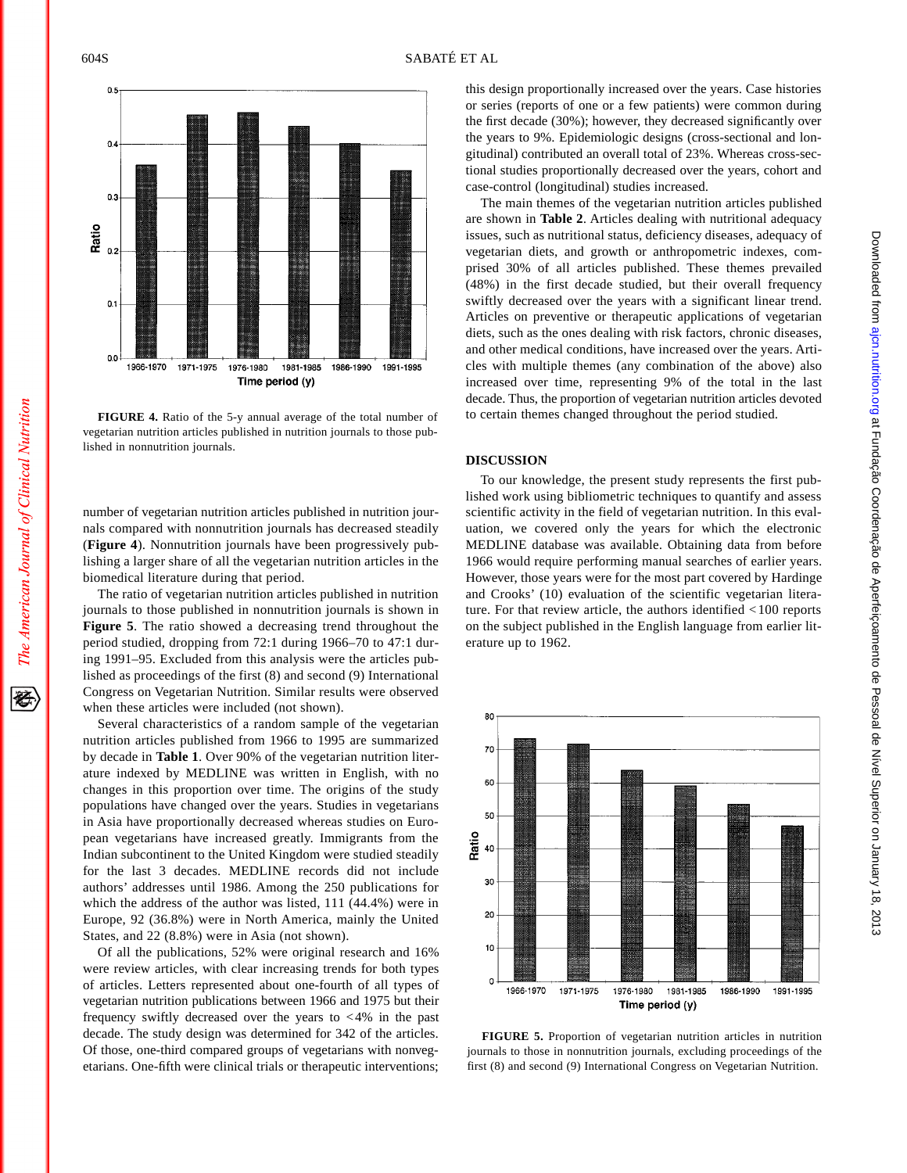

**FIGURE 4.** Ratio of the 5-y annual average of the total number of vegetarian nutrition articles published in nutrition journals to those published in nonnutrition journals.

number of vegetarian nutrition articles published in nutrition journals compared with nonnutrition journals has decreased steadily (**Figure 4**). Nonnutrition journals have been progressively publishing a larger share of all the vegetarian nutrition articles in the biomedical literature during that period.

The ratio of vegetarian nutrition articles published in nutrition journals to those published in nonnutrition journals is shown in **Figure 5**. The ratio showed a decreasing trend throughout the period studied, dropping from 72:1 during 1966–70 to 47:1 during 1991–95. Excluded from this analysis were the articles published as proceedings of the first (8) and second (9) International Congress on Vegetarian Nutrition. Similar results were observed when these articles were included (not shown).

Several characteristics of a random sample of the vegetarian nutrition articles published from 1966 to 1995 are summarized by decade in **Table 1**. Over 90% of the vegetarian nutrition literature indexed by MEDLINE was written in English, with no changes in this proportion over time. The origins of the study populations have changed over the years. Studies in vegetarians in Asia have proportionally decreased whereas studies on European vegetarians have increased greatly. Immigrants from the Indian subcontinent to the United Kingdom were studied steadily for the last 3 decades. MEDLINE records did not include authors' addresses until 1986. Among the 250 publications for which the address of the author was listed, 111 (44.4%) were in Europe, 92 (36.8%) were in North America, mainly the United States, and 22 (8.8%) were in Asia (not shown).

Of all the publications, 52% were original research and 16% were review articles, with clear increasing trends for both types of articles. Letters represented about one-fourth of all types of vegetarian nutrition publications between 1966 and 1975 but their frequency swiftly decreased over the years to <4% in the past decade. The study design was determined for 342 of the articles. Of those, one-third compared groups of vegetarians with nonvegetarians. One-fifth were clinical trials or therapeutic interventions; this design proportionally increased over the years. Case histories or series (reports of one or a few patients) were common during the first decade (30%); however, they decreased significantly over the years to 9%. Epidemiologic designs (cross-sectional and longitudinal) contributed an overall total of 23%. Whereas cross-sectional studies proportionally decreased over the years, cohort and case-control (longitudinal) studies increased.

The main themes of the vegetarian nutrition articles published are shown in **Table 2**. Articles dealing with nutritional adequacy issues, such as nutritional status, deficiency diseases, adequacy of vegetarian diets, and growth or anthropometric indexes, comprised 30% of all articles published. These themes prevailed (48%) in the first decade studied, but their overall frequency swiftly decreased over the years with a significant linear trend. Articles on preventive or therapeutic applications of vegetarian diets, such as the ones dealing with risk factors, chronic diseases, and other medical conditions, have increased over the years. Articles with multiple themes (any combination of the above) also increased over time, representing 9% of the total in the last decade. Thus, the proportion of vegetarian nutrition articles devoted to certain themes changed throughout the period studied.

#### **DISCUSSION**

To our knowledge, the present study represents the first published work using bibliometric techniques to quantify and assess scientific activity in the field of vegetarian nutrition. In this evaluation, we covered only the years for which the electronic MEDLINE database was available. Obtaining data from before 1966 would require performing manual searches of earlier years. However, those years were for the most part covered by Hardinge and Crooks' (10) evaluation of the scientific vegetarian literature. For that review article, the authors identified < 100 reports on the subject published in the English language from earlier literature up to 1962.



**FIGURE 5.** Proportion of vegetarian nutrition articles in nutrition journals to those in nonnutrition journals, excluding proceedings of the first (8) and second (9) International Congress on Vegetarian Nutrition.

The American Journal of Clinical Nutrition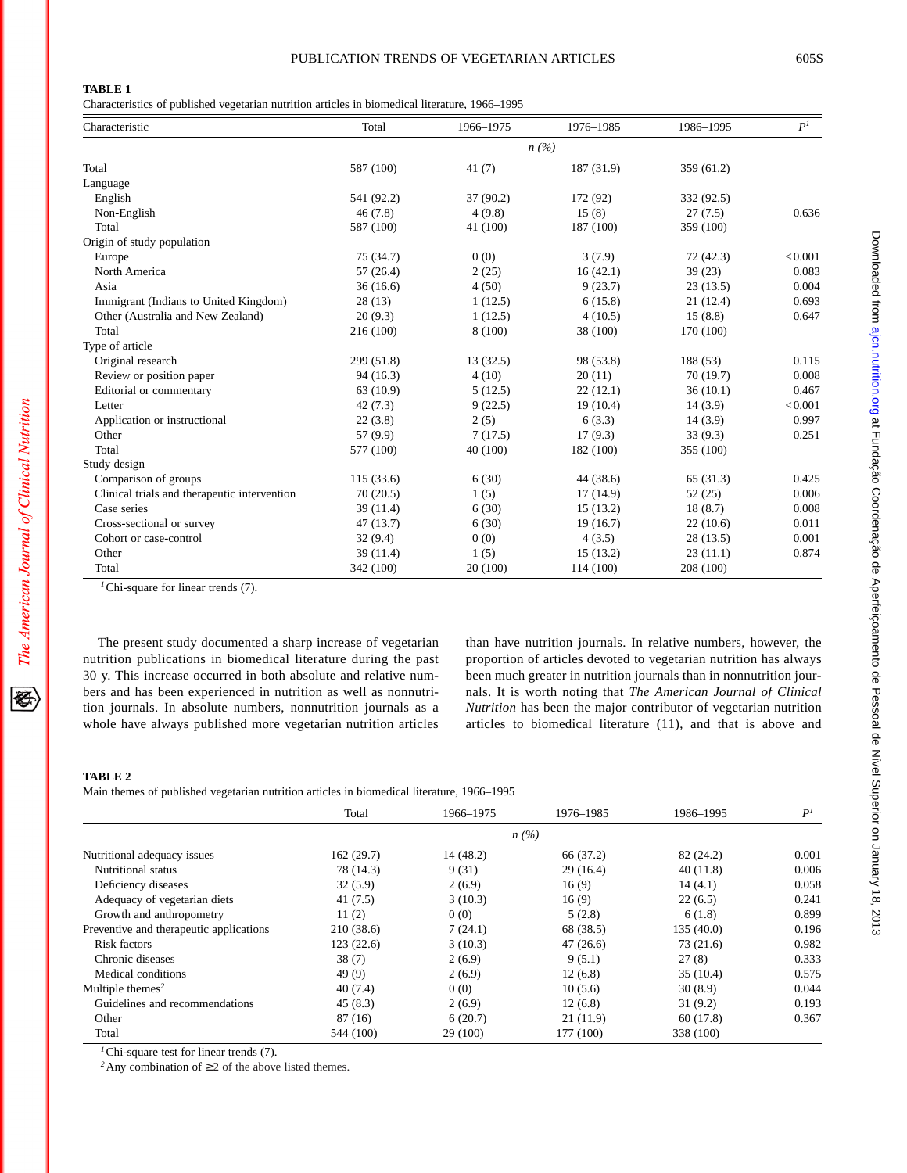## **TABLE 1**

Characteristics of published vegetarian nutrition articles in biomedical literature, 1966–1995

| Characteristic                               | Total      | 1966-1975 | 1976-1985  | 1986-1995  | P <sup>I</sup> |  |  |  |
|----------------------------------------------|------------|-----------|------------|------------|----------------|--|--|--|
|                                              | n(%)       |           |            |            |                |  |  |  |
| Total                                        | 587 (100)  | 41(7)     | 187 (31.9) | 359(61.2)  |                |  |  |  |
| Language                                     |            |           |            |            |                |  |  |  |
| English                                      | 541 (92.2) | 37 (90.2) | 172 (92)   | 332 (92.5) |                |  |  |  |
| Non-English                                  | 46(7.8)    | 4(9.8)    | 15(8)      | 27(7.5)    | 0.636          |  |  |  |
| Total                                        | 587 (100)  | 41 (100)  | 187 (100)  | 359 (100)  |                |  |  |  |
| Origin of study population                   |            |           |            |            |                |  |  |  |
| Europe                                       | 75 (34.7)  | 0(0)      | 3(7.9)     | 72 (42.3)  | < 0.001        |  |  |  |
| North America                                | 57(26.4)   | 2(25)     | 16(42.1)   | 39(23)     | 0.083          |  |  |  |
| Asia                                         | 36(16.6)   | 4(50)     | 9(23.7)    | 23(13.5)   | 0.004          |  |  |  |
| Immigrant (Indians to United Kingdom)        | 28(13)     | 1(12.5)   | 6(15.8)    | 21(12.4)   | 0.693          |  |  |  |
| Other (Australia and New Zealand)            | 20(9.3)    | 1(12.5)   | 4(10.5)    | 15(8.8)    | 0.647          |  |  |  |
| Total                                        | 216 (100)  | 8 (100)   | 38 (100)   | 170 (100)  |                |  |  |  |
| Type of article                              |            |           |            |            |                |  |  |  |
| Original research                            | 299 (51.8) | 13(32.5)  | 98 (53.8)  | 188 (53)   | 0.115          |  |  |  |
| Review or position paper                     | 94 (16.3)  | 4(10)     | 20(11)     | 70 (19.7)  | 0.008          |  |  |  |
| Editorial or commentary                      | 63(10.9)   | 5(12.5)   | 22(12.1)   | 36(10.1)   | 0.467          |  |  |  |
| Letter                                       | 42(7.3)    | 9(22.5)   | 19(10.4)   | 14(3.9)    | < 0.001        |  |  |  |
| Application or instructional                 | 22(3.8)    | 2(5)      | 6(3.3)     | 14(3.9)    | 0.997          |  |  |  |
| Other                                        | 57 (9.9)   | 7(17.5)   | 17(9.3)    | 33(9.3)    | 0.251          |  |  |  |
| Total                                        | 577 (100)  | 40 (100)  | 182 (100)  | 355 (100)  |                |  |  |  |
| Study design                                 |            |           |            |            |                |  |  |  |
| Comparison of groups                         | 115(33.6)  | 6(30)     | 44 (38.6)  | 65(31.3)   | 0.425          |  |  |  |
| Clinical trials and therapeutic intervention | 70(20.5)   | 1(5)      | 17(14.9)   | 52(25)     | 0.006          |  |  |  |
| Case series                                  | 39(11.4)   | 6(30)     | 15(13.2)   | 18(8.7)    | 0.008          |  |  |  |
| Cross-sectional or survey                    | 47(13.7)   | 6(30)     | 19(16.7)   | 22(10.6)   | 0.011          |  |  |  |
| Cohort or case-control                       | 32(9.4)    | 0(0)      | 4(3.5)     | 28(13.5)   | 0.001          |  |  |  |
| Other                                        | 39(11.4)   | 1(5)      | 15(13.2)   | 23(11.1)   | 0.874          |  |  |  |
| Total                                        | 342 (100)  | 20 (100)  | 114 (100)  | 208 (100)  |                |  |  |  |

*<sup>1</sup>*Chi-square for linear trends (7).

The present study documented a sharp increase of vegetarian nutrition publications in biomedical literature during the past 30 y. This increase occurred in both absolute and relative numbers and has been experienced in nutrition as well as nonnutrition journals. In absolute numbers, nonnutrition journals as a whole have always published more vegetarian nutrition articles

than have nutrition journals. In relative numbers, however, the proportion of articles devoted to vegetarian nutrition has always been much greater in nutrition journals than in nonnutrition journals. It is worth noting that *The American Journal of Clinical Nutrition* has been the major contributor of vegetarian nutrition articles to biomedical literature (11), and that is above and

#### **TABLE 2**

Main themes of published vegetarian nutrition articles in biomedical literature, 1966–1995

|                                         | Total     | 1966-1975 | 1976-1985 | 1986-1995 | P <sup>1</sup> |  |  |
|-----------------------------------------|-----------|-----------|-----------|-----------|----------------|--|--|
|                                         | n(%)      |           |           |           |                |  |  |
| Nutritional adequacy issues             | 162(29.7) | 14(48.2)  | 66 (37.2) | 82 (24.2) | 0.001          |  |  |
| Nutritional status                      | 78 (14.3) | 9(31)     | 29(16.4)  | 40(11.8)  | 0.006          |  |  |
| Deficiency diseases                     | 32(5.9)   | 2(6.9)    | 16(9)     | 14(4.1)   | 0.058          |  |  |
| Adequacy of vegetarian diets            | 41(7.5)   | 3(10.3)   | 16(9)     | 22(6.5)   | 0.241          |  |  |
| Growth and anthropometry                | 11(2)     | 0(0)      | 5(2.8)    | 6(1.8)    | 0.899          |  |  |
| Preventive and therapeutic applications | 210(38.6) | 7(24.1)   | 68 (38.5) | 135(40.0) | 0.196          |  |  |
| Risk factors                            | 123(22.6) | 3(10.3)   | 47(26.6)  | 73(21.6)  | 0.982          |  |  |
| Chronic diseases                        | 38(7)     | 2(6.9)    | 9(5.1)    | 27(8)     | 0.333          |  |  |
| Medical conditions                      | 49(9)     | 2(6.9)    | 12(6.8)   | 35(10.4)  | 0.575          |  |  |
| Multiple themes <sup>2</sup>            | 40(7.4)   | 0(0)      | 10(5.6)   | 30(8.9)   | 0.044          |  |  |
| Guidelines and recommendations          | 45(8.3)   | 2(6.9)    | 12(6.8)   | 31(9.2)   | 0.193          |  |  |
| Other                                   | 87 (16)   | 6(20.7)   | 21(11.9)  | 60(17.8)  | 0.367          |  |  |
| Total                                   | 544 (100) | 29 (100)  | 177 (100) | 338 (100) |                |  |  |

*<sup>1</sup>*Chi-square test for linear trends (7).

<sup>2</sup>Any combination of  $\geq$  2 of the above listed themes.

石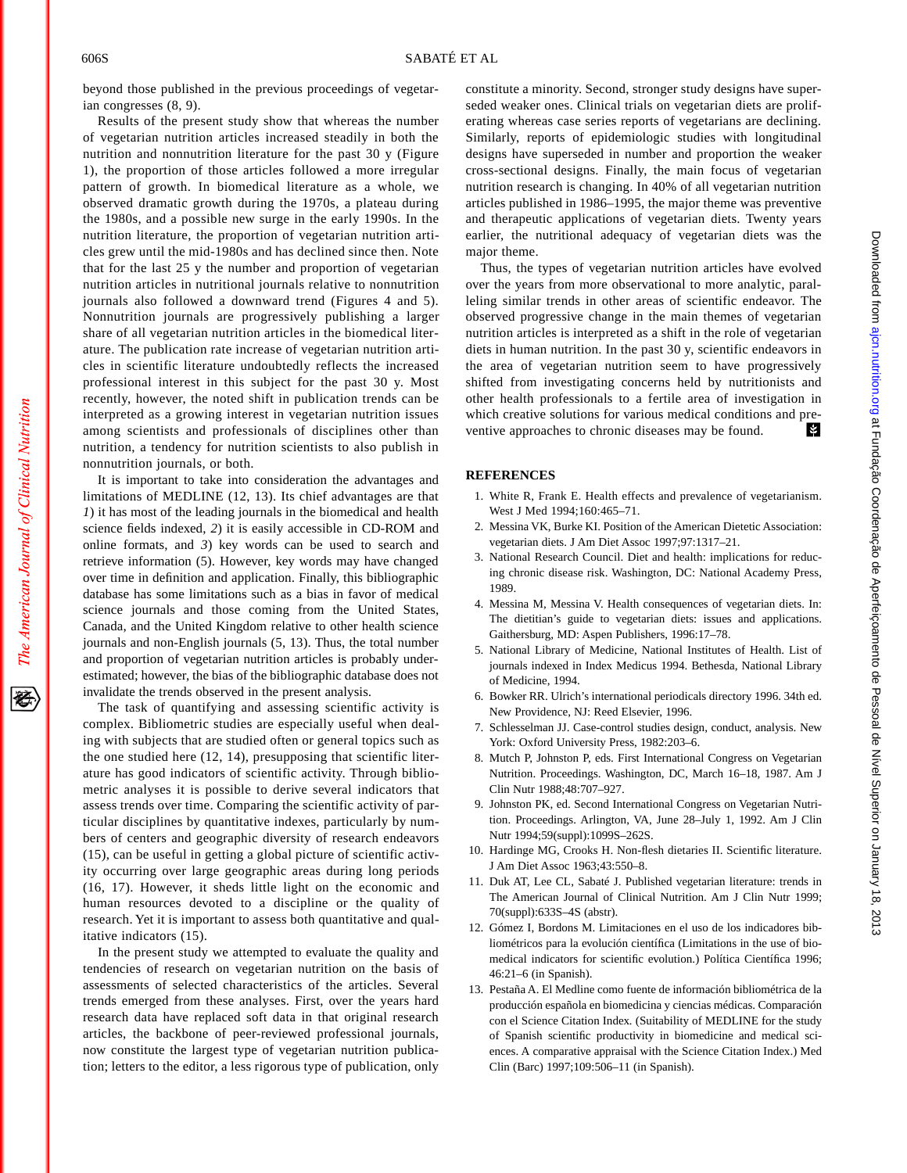The American Journal of Clinical Nutrition

beyond those published in the previous proceedings of vegetarian congresses (8, 9).

Results of the present study show that whereas the number of vegetarian nutrition articles increased steadily in both the nutrition and nonnutrition literature for the past 30 y (Figure 1), the proportion of those articles followed a more irregular pattern of growth. In biomedical literature as a whole, we observed dramatic growth during the 1970s, a plateau during the 1980s, and a possible new surge in the early 1990s. In the nutrition literature, the proportion of vegetarian nutrition articles grew until the mid-1980s and has declined since then. Note that for the last 25 y the number and proportion of vegetarian nutrition articles in nutritional journals relative to nonnutrition journals also followed a downward trend (Figures 4 and 5). Nonnutrition journals are progressively publishing a larger share of all vegetarian nutrition articles in the biomedical literature. The publication rate increase of vegetarian nutrition articles in scientific literature undoubtedly reflects the increased professional interest in this subject for the past 30 y. Most recently, however, the noted shift in publication trends can be interpreted as a growing interest in vegetarian nutrition issues among scientists and professionals of disciplines other than nutrition, a tendency for nutrition scientists to also publish in nonnutrition journals, or both.

It is important to take into consideration the advantages and limitations of MEDLINE (12, 13). Its chief advantages are that *1*) it has most of the leading journals in the biomedical and health science fields indexed, *2*) it is easily accessible in CD-ROM and online formats, and *3*) key words can be used to search and retrieve information (5). However, key words may have changed over time in definition and application. Finally, this bibliographic database has some limitations such as a bias in favor of medical science journals and those coming from the United States, Canada, and the United Kingdom relative to other health science journals and non-English journals (5, 13). Thus, the total number and proportion of vegetarian nutrition articles is probably underestimated; however, the bias of the bibliographic database does not invalidate the trends observed in the present analysis.

The task of quantifying and assessing scientific activity is complex. Bibliometric studies are especially useful when dealing with subjects that are studied often or general topics such as the one studied here (12, 14), presupposing that scientific literature has good indicators of scientific activity. Through bibliometric analyses it is possible to derive several indicators that assess trends over time. Comparing the scientific activity of particular disciplines by quantitative indexes, particularly by numbers of centers and geographic diversity of research endeavors (15), can be useful in getting a global picture of scientific activity occurring over large geographic areas during long periods (16, 17). However, it sheds little light on the economic and human resources devoted to a discipline or the quality of research. Yet it is important to assess both quantitative and qualitative indicators (15).

In the present study we attempted to evaluate the quality and tendencies of research on vegetarian nutrition on the basis of assessments of selected characteristics of the articles. Several trends emerged from these analyses. First, over the years hard research data have replaced soft data in that original research articles, the backbone of peer-reviewed professional journals, now constitute the largest type of vegetarian nutrition publication; letters to the editor, a less rigorous type of publication, only constitute a minority. Second, stronger study designs have superseded weaker ones. Clinical trials on vegetarian diets are proliferating whereas case series reports of vegetarians are declining. Similarly, reports of epidemiologic studies with longitudinal designs have superseded in number and proportion the weaker cross-sectional designs. Finally, the main focus of vegetarian nutrition research is changing. In 40% of all vegetarian nutrition articles published in 1986–1995, the major theme was preventive and therapeutic applications of vegetarian diets. Twenty years earlier, the nutritional adequacy of vegetarian diets was the major theme.

Thus, the types of vegetarian nutrition articles have evolved over the years from more observational to more analytic, paralleling similar trends in other areas of scientific endeavor. The observed progressive change in the main themes of vegetarian nutrition articles is interpreted as a shift in the role of vegetarian diets in human nutrition. In the past 30 y, scientific endeavors in the area of vegetarian nutrition seem to have progressively shifted from investigating concerns held by nutritionists and other health professionals to a fertile area of investigation in which creative solutions for various medical conditions and pre-客 ventive approaches to chronic diseases may be found.

#### **REFERENCES**

- 1. White R, Frank E. Health effects and prevalence of vegetarianism. West J Med 1994;160:465–71.
- 2. Messina VK, Burke KI. Position of the American Dietetic Association: vegetarian diets. J Am Diet Assoc 1997;97:1317–21.
- 3. National Research Council. Diet and health: implications for reducing chronic disease risk. Washington, DC: National Academy Press, 1989.
- 4. Messina M, Messina V. Health consequences of vegetarian diets. In: The dietitian's guide to vegetarian diets: issues and applications. Gaithersburg, MD: Aspen Publishers, 1996:17–78.
- 5. National Library of Medicine, National Institutes of Health. List of journals indexed in Index Medicus 1994. Bethesda, National Library of Medicine, 1994.
- 6. Bowker RR. Ulrich's international periodicals directory 1996. 34th ed. New Providence, NJ: Reed Elsevier, 1996.
- 7. Schlesselman JJ. Case-control studies design, conduct, analysis. New York: Oxford University Press, 1982:203–6.
- 8. Mutch P, Johnston P, eds. First International Congress on Vegetarian Nutrition. Proceedings. Washington, DC, March 16–18, 1987. Am J Clin Nutr 1988;48:707–927.
- 9. Johnston PK, ed. Second International Congress on Vegetarian Nutrition. Proceedings. Arlington, VA, June 28–July 1, 1992. Am J Clin Nutr 1994;59(suppl):1099S–262S.
- 10. Hardinge MG, Crooks H. Non-flesh dietaries II. Scientific literature. J Am Diet Assoc 1963;43:550–8.
- 11. Duk AT, Lee CL, Sabaté J. Published vegetarian literature: trends in The American Journal of Clinical Nutrition. Am J Clin Nutr 1999; 70(suppl):633S–4S (abstr).
- 12. Gómez I, Bordons M. Limitaciones en el uso de los indicadores bibliométricos para la evolución científica (Limitations in the use of biomedical indicators for scientific evolution.) Política Científica 1996; 46:21–6 (in Spanish).
- 13. Pestaña A. El Medline como fuente de información bibliométrica de la producción española en biomedicina y ciencias médicas. Comparación con el Science Citation Index*.* (Suitability of MEDLINE for the study of Spanish scientific productivity in biomedicine and medical sciences. A comparative appraisal with the Science Citation Index.) Med Clin (Barc) 1997;109:506–11 (in Spanish).